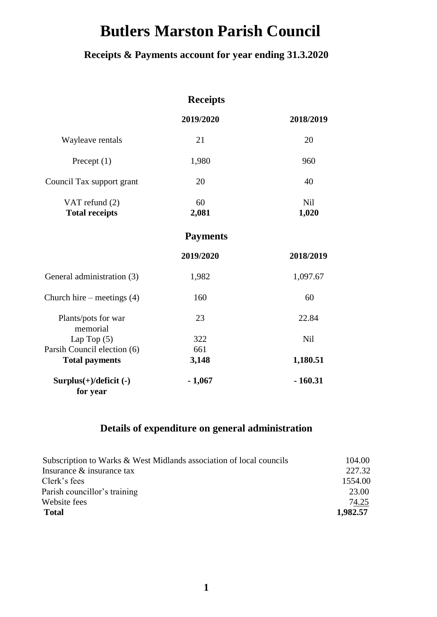# **Butlers Marston Parish Council**

# **Receipts & Payments account for year ending 31.3.2020**

|                                         | <b>Receipts</b> |                     |
|-----------------------------------------|-----------------|---------------------|
|                                         | 2019/2020       | 2018/2019           |
| Wayleave rentals                        | 21              | 20                  |
| Precept $(1)$                           | 1,980           | 960                 |
| Council Tax support grant               | 20              | 40                  |
| VAT refund (2)<br><b>Total receipts</b> | 60<br>2,081     | <b>Nil</b><br>1,020 |
|                                         | <b>Payments</b> |                     |
|                                         | 2019/2020       | 2018/2019           |
| General administration (3)              | 1,982           | 1,097.67            |
| Church hire – meetings $(4)$            | 160             | 60                  |
| Plants/pots for war<br>memorial         | 23              | 22.84               |
| Lap Top $(5)$                           | 322             | <b>Nil</b>          |
| Parsih Council election (6)             | 661             |                     |
| <b>Total payments</b>                   | 3,148           | 1,180.51            |
| $Surplus(+)/deficit (-)$<br>for year    | $-1,067$        | $-160.31$           |

### **Details of expenditure on general administration**

| Subscription to Warks & West Midlands association of local councils | 104.00   |
|---------------------------------------------------------------------|----------|
| Insurance & insurance tax                                           | 227.32   |
| Clerk's fees                                                        | 1554.00  |
| Parish councillor's training                                        | 23.00    |
| Website fees                                                        | 74.25    |
| <b>Total</b>                                                        | 1,982.57 |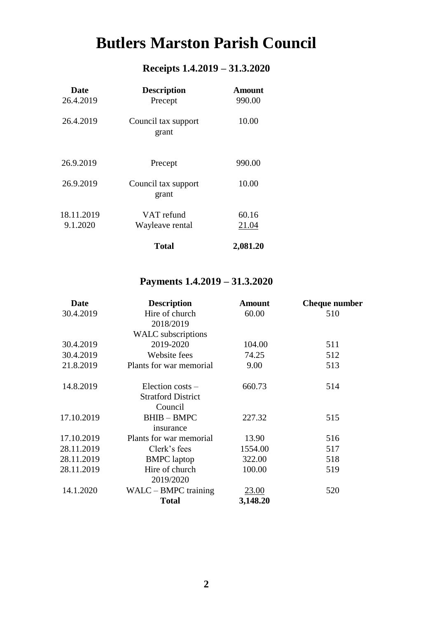# **Butlers Marston Parish Council**

# **Receipts 1.4.2019 – 31.3.2020**

| <b>Date</b><br>26.4.2019 | <b>Description</b><br>Precept | Amount<br>990.00 |
|--------------------------|-------------------------------|------------------|
| 26.4.2019                | Council tax support<br>grant  | 10.00            |
| 26.9.2019                | Precept                       | 990.00           |
| 26.9.2019                | Council tax support<br>grant  | 10.00            |
| 18.11.2019<br>9.1.2020   | VAT refund<br>Wayleave rental | 60.16<br>21.04   |
|                          | Total                         | 2,081.20         |

# **Payments 1.4.2019 – 31.3.2020**

| Date       | <b>Description</b>        | <b>Amount</b> | <b>Cheque number</b> |
|------------|---------------------------|---------------|----------------------|
| 30.4.2019  | Hire of church            | 60.00         | 510                  |
|            | 2018/2019                 |               |                      |
|            | <b>WALC</b> subscriptions |               |                      |
| 30.4.2019  | 2019-2020                 | 104.00        | 511                  |
| 30.4.2019  | Website fees              | 74.25         | 512                  |
| 21.8.2019  | Plants for war memorial   | 9.00          | 513                  |
| 14.8.2019  | Election costs $-$        | 660.73        | 514                  |
|            | <b>Stratford District</b> |               |                      |
|            | Council                   |               |                      |
| 17.10.2019 | <b>BHIB-BMPC</b>          | 227.32        | 515                  |
|            | insurance                 |               |                      |
| 17.10.2019 | Plants for war memorial   | 13.90         | 516                  |
| 28.11.2019 | Clerk's fees              | 1554.00       | 517                  |
| 28.11.2019 | <b>BMPC</b> laptop        | 322.00        | 518                  |
| 28.11.2019 | Hire of church            | 100.00        | 519                  |
|            | 2019/2020                 |               |                      |
| 14.1.2020  | $WALC - BMPC$ training    | <u>23.00</u>  | 520                  |
|            | <b>Total</b>              | 3,148.20      |                      |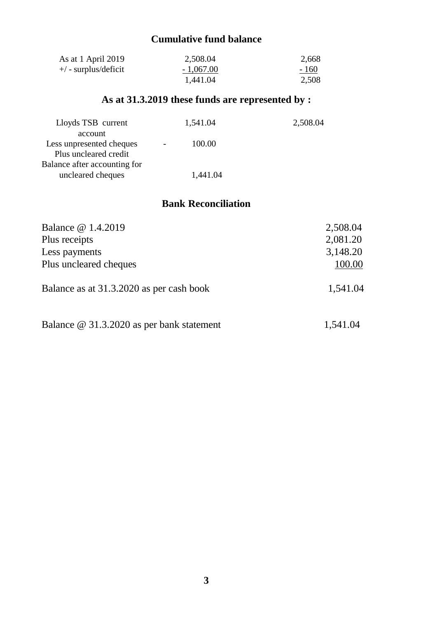## **Cumulative fund balance**

| As at 1 April 2019   | 2,508.04    | 2,668  |
|----------------------|-------------|--------|
| +/ - surplus/deficit | $-1,067.00$ | $-160$ |
|                      | 1,441.04    | 2,508  |

# **As at 31.3.2019 these funds are represented by :**

| 1,541.04 | 2,508.04 |
|----------|----------|
|          |          |
| 100.00   |          |
|          |          |
|          |          |
| 1,441.04 |          |
|          |          |

### **Bank Reconciliation**

| Balance @ 1.4.2019<br>Plus receipts<br>Less payments | 2,508.04<br>2,081.20<br>3,148.20 |
|------------------------------------------------------|----------------------------------|
| Plus uncleared cheques                               | 100.00                           |
| Balance as at 31.3.2020 as per cash book             | 1,541.04                         |
| Balance @ 31.3.2020 as per bank statement            | 1,541.04                         |